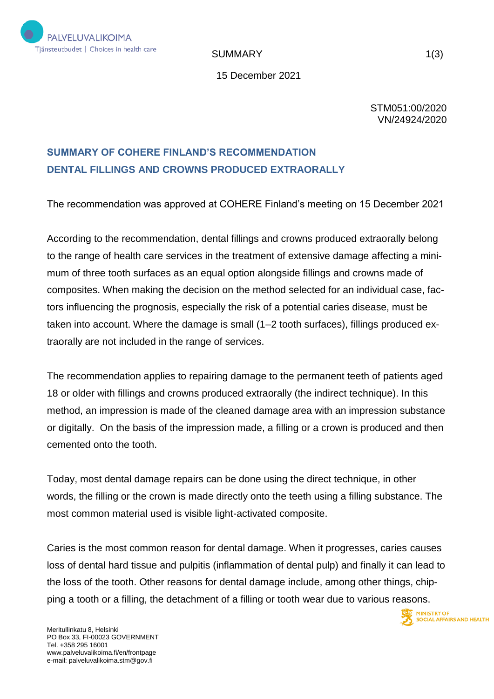

SUMMARY 1(3)

15 December 2021

STM051:00/2020 VN/24924/2020

## **SUMMARY OF COHERE FINLAND'S RECOMMENDATION DENTAL FILLINGS AND CROWNS PRODUCED EXTRAORALLY**

The recommendation was approved at COHERE Finland's meeting on 15 December 2021

According to the recommendation, dental fillings and crowns produced extraorally belong to the range of health care services in the treatment of extensive damage affecting a minimum of three tooth surfaces as an equal option alongside fillings and crowns made of composites. When making the decision on the method selected for an individual case, factors influencing the prognosis, especially the risk of a potential caries disease, must be taken into account. Where the damage is small (1–2 tooth surfaces), fillings produced extraorally are not included in the range of services.

The recommendation applies to repairing damage to the permanent teeth of patients aged 18 or older with fillings and crowns produced extraorally (the indirect technique). In this method, an impression is made of the cleaned damage area with an impression substance or digitally. On the basis of the impression made, a filling or a crown is produced and then cemented onto the tooth.

Today, most dental damage repairs can be done using the direct technique, in other words, the filling or the crown is made directly onto the teeth using a filling substance. The most common material used is visible light-activated composite.

Caries is the most common reason for dental damage. When it progresses, caries causes loss of dental hard tissue and pulpitis (inflammation of dental pulp) and finally it can lead to the loss of the tooth. Other reasons for dental damage include, among other things, chipping a tooth or a filling, the detachment of a filling or tooth wear due to various reasons.

**MINISTRY OF** 

**SOCIAL AFFAIRS AND HEALTH**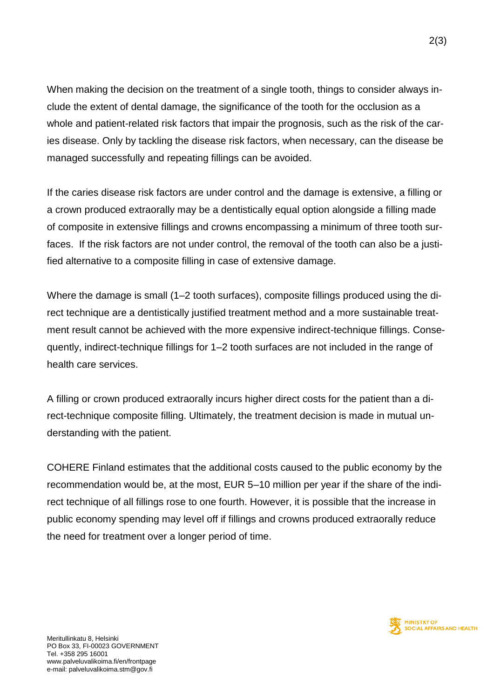When making the decision on the treatment of a single tooth, things to consider always include the extent of dental damage, the significance of the tooth for the occlusion as a whole and patient-related risk factors that impair the prognosis, such as the risk of the caries disease. Only by tackling the disease risk factors, when necessary, can the disease be managed successfully and repeating fillings can be avoided.

If the caries disease risk factors are under control and the damage is extensive, a filling or a crown produced extraorally may be a dentistically equal option alongside a filling made of composite in extensive fillings and crowns encompassing a minimum of three tooth surfaces. If the risk factors are not under control, the removal of the tooth can also be a justified alternative to a composite filling in case of extensive damage.

Where the damage is small (1–2 tooth surfaces), composite fillings produced using the direct technique are a dentistically justified treatment method and a more sustainable treatment result cannot be achieved with the more expensive indirect-technique fillings. Consequently, indirect-technique fillings for 1–2 tooth surfaces are not included in the range of health care services.

A filling or crown produced extraorally incurs higher direct costs for the patient than a direct-technique composite filling. Ultimately, the treatment decision is made in mutual understanding with the patient.

COHERE Finland estimates that the additional costs caused to the public economy by the recommendation would be, at the most, EUR 5–10 million per year if the share of the indirect technique of all fillings rose to one fourth. However, it is possible that the increase in public economy spending may level off if fillings and crowns produced extraorally reduce the need for treatment over a longer period of time.